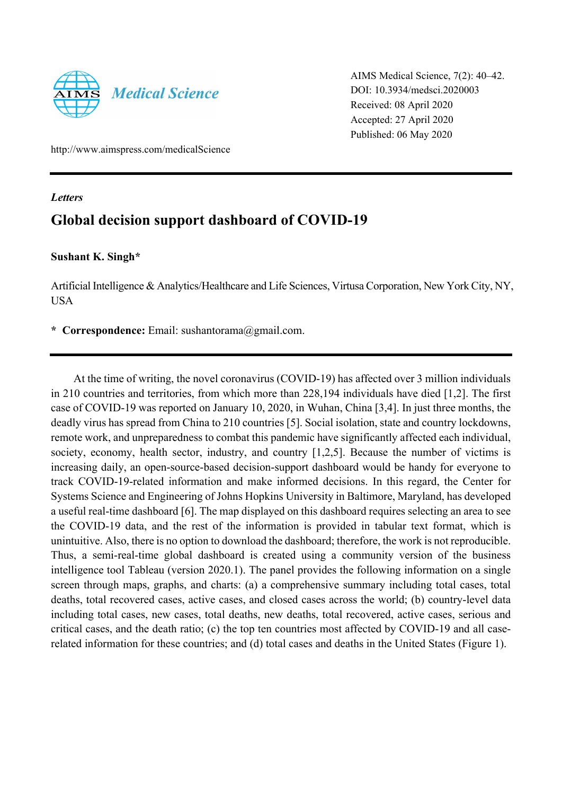

AIMS Medical Science, 7(2): 40–42. DOI: 10.3934/medsci.2020003 Received: 08 April 2020 Accepted: 27 April 2020 Published: 06 May 2020

http://www.aimspress.com/medicalScience

#### *Letters*

# **Global decision support dashboard of COVID-19**

### **Sushant K. Singh\***

Artificial Intelligence & Analytics/Healthcare and Life Sciences, Virtusa Corporation, New York City, NY, USA

**\* Correspondence:** Email: sushantorama@gmail.com.

At the time of writing, the novel coronavirus (COVID-19) has affected over 3 million individuals in 210 countries and territories, from which more than 228,194 individuals have died [1,2]. The first case of COVID-19 was reported on January 10, 2020, in Wuhan, China [3,4]. In just three months, the deadly virus has spread from China to 210 countries [5]. Social isolation, state and country lockdowns, remote work, and unpreparedness to combat this pandemic have significantly affected each individual, society, economy, health sector, industry, and country [1,2,5]. Because the number of victims is increasing daily, an open-source-based decision-support dashboard would be handy for everyone to track COVID-19-related information and make informed decisions. In this regard, the Center for Systems Science and Engineering of Johns Hopkins University in Baltimore, Maryland, has developed a useful real-time dashboard [6]. The map displayed on this dashboard requires selecting an area to see the COVID-19 data, and the rest of the information is provided in tabular text format, which is unintuitive. Also, there is no option to download the dashboard; therefore, the work is not reproducible. Thus, a semi-real-time global dashboard is created using a community version of the business intelligence tool Tableau (version 2020.1). The panel provides the following information on a single screen through maps, graphs, and charts: (a) a comprehensive summary including total cases, total deaths, total recovered cases, active cases, and closed cases across the world; (b) country-level data including total cases, new cases, total deaths, new deaths, total recovered, active cases, serious and critical cases, and the death ratio; (c) the top ten countries most affected by COVID-19 and all caserelated information for these countries; and (d) total cases and deaths in the United States (Figure 1).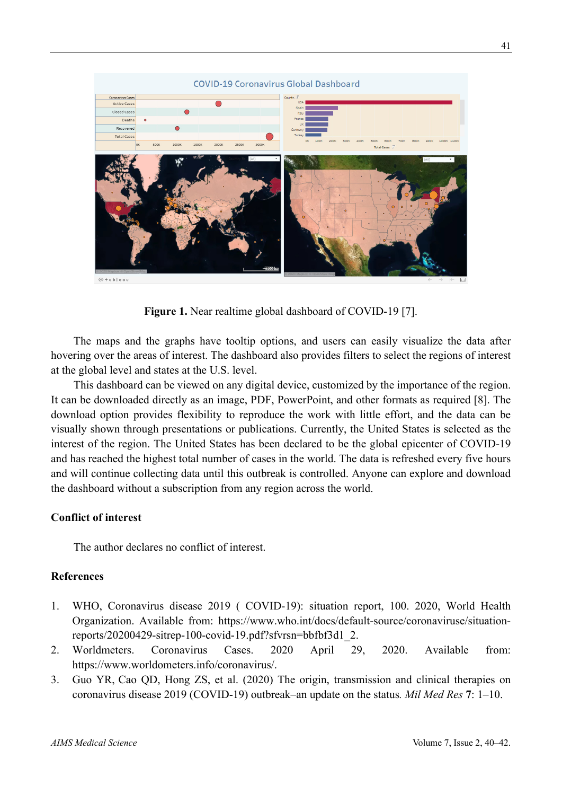

**Figure 1.** Near realtime global dashboard of COVID-19 [7].

The maps and the graphs have tooltip options, and users can easily visualize the data after hovering over the areas of interest. The dashboard also provides filters to select the regions of interest at the global level and states at the U.S. level.

This dashboard can be viewed on any digital device, customized by the importance of the region. It can be downloaded directly as an image, PDF, PowerPoint, and other formats as required [8]. The download option provides flexibility to reproduce the work with little effort, and the data can be visually shown through presentations or publications. Currently, the United States is selected as the interest of the region. The United States has been declared to be the global epicenter of COVID-19 and has reached the highest total number of cases in the world. The data is refreshed every five hours and will continue collecting data until this outbreak is controlled. Anyone can explore and download the dashboard without a subscription from any region across the world.

### **Conflict of interest**

The author declares no conflict of interest.

## **References**

- 1. WHO, Coronavirus disease 2019 ( COVID-19): situation report, 100. 2020, World Health Organization. Available from: https://www.who.int/docs/default-source/coronaviruse/situationreports/20200429-sitrep-100-covid-19.pdf?sfvrsn=bbfbf3d1\_2.
- 2. Worldmeters. Coronavirus Cases. 2020 April 29, 2020. Available from: https://www.worldometers.info/coronavirus/.
- 3. Guo YR, Cao QD, Hong ZS, et al. (2020) The origin, transmission and clinical therapies on coronavirus disease 2019 (COVID-19) outbreak–an update on the status*. Mil Med Res* **7**: 1–10.